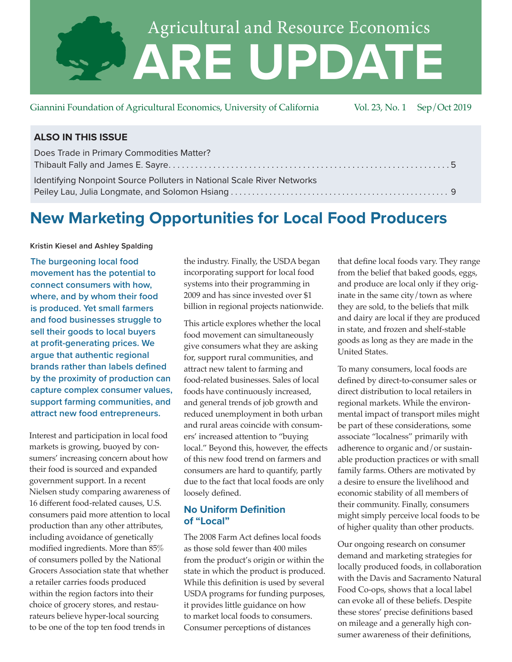

Giannini Foundation of Agricultural Economics, University of California Vol. 23, No. 1 Sep/Oct 2019

| Does Trade in Primary Commodities Matter?                              |  |
|------------------------------------------------------------------------|--|
|                                                                        |  |
| Identifying Nonpoint Source Polluters in National Scale River Networks |  |
|                                                                        |  |

# **New Marketing Opportunities for Local Food Producers**

**Kristin Kiesel and Ashley Spalding**

**The burgeoning local food movement has the potential to connect consumers with how, where, and by whom their food is produced. Yet small farmers and food businesses struggle to sell their goods to local buyers at profit-generating prices. We argue that authentic regional brands rather than labels defined by the proximity of production can capture complex consumer values, support farming communities, and attract new food entrepreneurs.** 

Interest and participation in local food markets is growing, buoyed by consumers' increasing concern about how their food is sourced and expanded government support. In a recent Nielsen study comparing awareness of 16 different food-related causes, U.S. consumers paid more attention to local production than any other attributes, including avoidance of genetically modified ingredients. More than 85% of consumers polled by the National Grocers Association state that whether a retailer carries foods produced within the region factors into their choice of grocery stores, and restaurateurs believe hyper-local sourcing to be one of the top ten food trends in

the industry. Finally, the USDA began incorporating support for local food systems into their programming in 2009 and has since invested over \$1 billion in regional projects nationwide.

This article explores whether the local food movement can simultaneously give consumers what they are asking for, support rural communities, and attract new talent to farming and food-related businesses. Sales of local foods have continuously increased, and general trends of job growth and reduced unemployment in both urban and rural areas coincide with consumers' increased attention to "buying local." Beyond this, however, the effects of this new food trend on farmers and consumers are hard to quantify, partly due to the fact that local foods are only loosely defined.

# **No Uniform Definition of "Local"**

The 2008 Farm Act defines local foods as those sold fewer than 400 miles from the product's origin or within the state in which the product is produced. While this definition is used by several USDA programs for funding purposes, it provides little guidance on how to market local foods to consumers. Consumer perceptions of distances

that define local foods vary. They range from the belief that baked goods, eggs, and produce are local only if they originate in the same city/town as where they are sold, to the beliefs that milk and dairy are local if they are produced in state, and frozen and shelf-stable goods as long as they are made in the United States.

To many consumers, local foods are defined by direct-to-consumer sales or direct distribution to local retailers in regional markets. While the environmental impact of transport miles might be part of these considerations, some associate "localness" primarily with adherence to organic and/or sustainable production practices or with small family farms. Others are motivated by a desire to ensure the livelihood and economic stability of all members of their community. Finally, consumers might simply perceive local foods to be of higher quality than other products.

Our ongoing research on consumer demand and marketing strategies for locally produced foods, in collaboration with the Davis and Sacramento Natural Food Co-ops, shows that a local label can evoke all of these beliefs. Despite these stores' precise definitions based on mileage and a generally high consumer awareness of their definitions,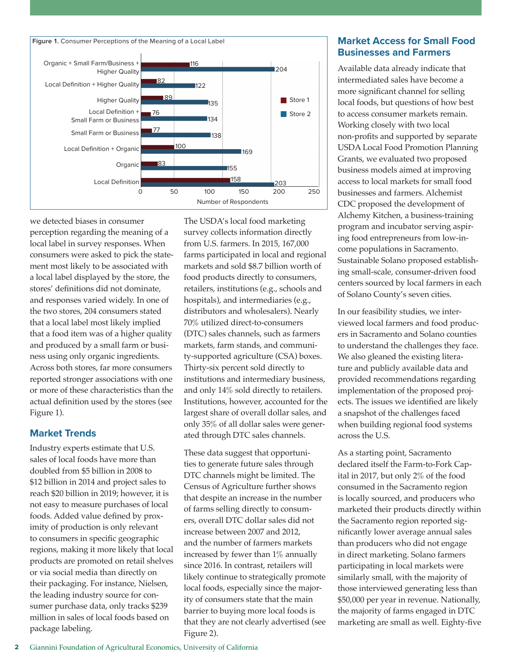

we detected biases in consumer perception regarding the meaning of a local label in survey responses. When consumers were asked to pick the statement most likely to be associated with a local label displayed by the store, the stores' definitions did not dominate, and responses varied widely. In one of the two stores, 204 consumers stated that a local label most likely implied that a food item was of a higher quality and produced by a small farm or business using only organic ingredients. Across both stores, far more consumers reported stronger associations with one or more of these characteristics than the actual definition used by the stores (see Figure 1).

## **Market Trends**

Industry experts estimate that U.S. sales of local foods have more than doubled from \$5 billion in 2008 to \$12 billion in 2014 and project sales to reach \$20 billion in 2019; however, it is not easy to measure purchases of local foods. Added value defined by proximity of production is only relevant to consumers in specific geographic regions, making it more likely that local products are promoted on retail shelves or via social media than directly on their packaging. For instance, Nielsen, the leading industry source for consumer purchase data, only tracks \$239 million in sales of local foods based on package labeling.

The USDA's local food marketing survey collects information directly from U.S. farmers. In 2015, 167,000 farms participated in local and regional markets and sold \$8.7 billion worth of food products directly to consumers, retailers, institutions (e.g., schools and hospitals), and intermediaries (e.g., distributors and wholesalers). Nearly 70% utilized direct-to-consumers (DTC) sales channels, such as farmers markets, farm stands, and community-supported agriculture (CSA) boxes. Thirty-six percent sold directly to institutions and intermediary business, and only 14% sold directly to retailers. Institutions, however, accounted for the largest share of overall dollar sales, and only 35% of all dollar sales were generated through DTC sales channels.

These data suggest that opportunities to generate future sales through DTC channels might be limited. The Census of Agriculture further shows that despite an increase in the number of farms selling directly to consumers, overall DTC dollar sales did not increase between 2007 and 2012, and the number of farmers markets increased by fewer than 1% annually since 2016. In contrast, retailers will likely continue to strategically promote local foods, especially since the majority of consumers state that the main barrier to buying more local foods is that they are not clearly advertised (see Figure 2).

# **Market Access for Small Food Businesses and Farmers**

Available data already indicate that intermediated sales have become a more significant channel for selling local foods, but questions of how best to access consumer markets remain. Working closely with two local non-profits and supported by separate USDA Local Food Promotion Planning Grants, we evaluated two proposed business models aimed at improving access to local markets for small food businesses and farmers. Alchemist CDC proposed the development of Alchemy Kitchen, a business-training program and incubator serving aspiring food entrepreneurs from low-income populations in Sacramento. Sustainable Solano proposed establishing small-scale, consumer-driven food centers sourced by local farmers in each of Solano County's seven cities.

In our feasibility studies, we interviewed local farmers and food producers in Sacramento and Solano counties to understand the challenges they face. We also gleaned the existing literature and publicly available data and provided recommendations regarding implementation of the proposed projects. The issues we identified are likely a snapshot of the challenges faced when building regional food systems across the U.S.

As a starting point, Sacramento declared itself the Farm-to-Fork Capital in 2017, but only 2% of the food consumed in the Sacramento region is locally sourced, and producers who marketed their products directly within the Sacramento region reported significantly lower average annual sales than producers who did not engage in direct marketing. Solano farmers participating in local markets were similarly small, with the majority of those interviewed generating less than \$50,000 per year in revenue. Nationally, the majority of farms engaged in DTC marketing are small as well. Eighty-five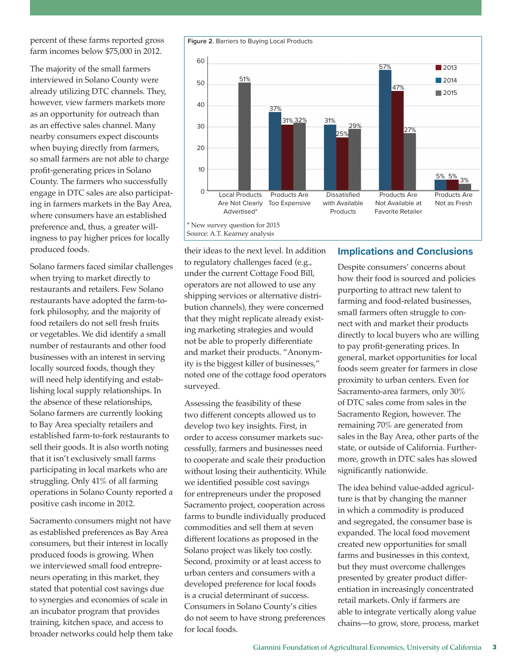percent of these farms reported gross farm incomes below \$75,000 in 2012.

The majority of the small farmers interviewed in Solano County were already utilizing DTC channels. They, however, view farmers markets more as an opportunity for outreach than as an effective sales channel. Many nearby consumers expect discounts when buying directly from farmers, so small farmers are not able to charge profit-generating prices in Solano County. The farmers who successfully engage in DTC sales are also participating in farmers markets in the Bay Area, where consumers have an established preference and, thus, a greater willingness to pay higher prices for locally produced foods.

Solano farmers faced similar challenges when trying to market directly to restaurants and retailers. Few Solano restaurants have adopted the farm-tofork philosophy, and the majority of food retailers do not sell fresh fruits or vegetables. We did identify a small number of restaurants and other food businesses with an interest in serving locally sourced foods, though they will need help identifying and establishing local supply relationships. In the absence of these relationships, Solano farmers are currently looking to Bay Area specialty retailers and established farm-to-fork restaurants to sell their goods. It is also worth noting that it isn't exclusively small farms participating in local markets who are struggling. Only 41% of all farming operations in Solano County reported a positive cash income in 2012.

Sacramento consumers might not have as established preferences as Bay Area consumers, but their interest in locally produced foods is growing. When we interviewed small food entrepreneurs operating in this market, they stated that potential cost savings due to synergies and economies of scale in an incubator program that provides training, kitchen space, and access to broader networks could help them take their ideas to the next level. In addition to regulatory challenges faced (e.g., under the current Cottage Food Bill, operators are not allowed to use any shipping services or alternative distribution channels), they were concerned that they might replicate already existing marketing strategies and would not be able to properly differentiate and market their products. "Anonymity is the biggest killer of businesses," noted one of the cottage food operators surveyed.

Assessing the feasibility of these two different concepts allowed us to develop two key insights. First, in order to access consumer markets successfully, farmers and businesses need to cooperate and scale their production without losing their authenticity. While we identified possible cost savings for entrepreneurs under the proposed Sacramento project, cooperation across farms to bundle individually produced commodities and sell them at seven different locations as proposed in the Solano project was likely too costly. Second, proximity or at least access to urban centers and consumers with a developed preference for local foods is a crucial determinant of success. Consumers in Solano County's cities do not seem to have strong preferences for local foods.

### **Implications and Conclusions**

Despite consumers' concerns about how their food is sourced and policies purporting to attract new talent to farming and food-related businesses, small farmers often struggle to connect with and market their products directly to local buyers who are willing to pay profit-generating prices. In general, market opportunities for local foods seem greater for farmers in close proximity to urban centers. Even for Sacramento-area farmers, only 30% of DTC sales come from sales in the Sacramento Region, however. The remaining 70% are generated from sales in the Bay Area, other parts of the state, or outside of California. Furthermore, growth in DTC sales has slowed significantly nationwide.

The idea behind value-added agriculture is that by changing the manner in which a commodity is produced and segregated, the consumer base is expanded. The local food movement created new opportunities for small farms and businesses in this context, but they must overcome challenges presented by greater product differentiation in increasingly concentrated retail markets. Only if farmers are able to integrate vertically along value chains—to grow, store, process, market



\* New survey question for 2015 Source: A.T. Kearney analysis